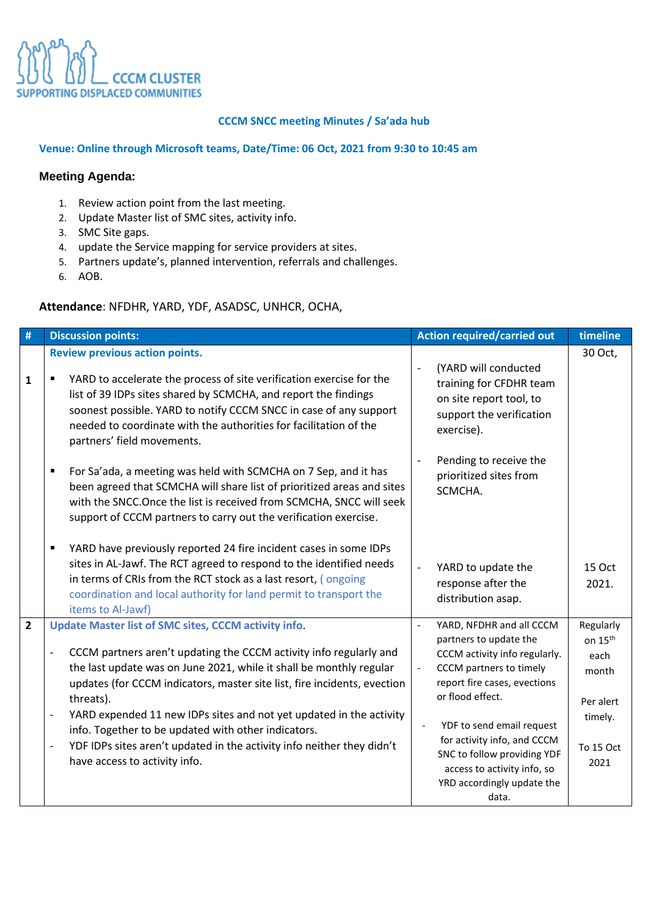

### **CCCM SNCC meeting Minutes / Sa'ada hub**

#### **Venue: Online through Microsoft teams, Date/Time: 06 Oct, 2021 from 9:30 to 10:45 am**

## **Meeting Agenda:**

- 1. Review action point from the last meeting.
- 2. Update Master list of SMC sites, activity info.
- 3. SMC Site gaps.
- 4. update the Service mapping for service providers at sites.
- 5. Partners update's, planned intervention, referrals and challenges.
- 6. AOB.

# **Attendance**: NFDHR, YARD, YDF, ASADSC, UNHCR, OCHA,

| $\#$           | <b>Discussion points:</b>                                                                                                                                                                                                                                                                                                                                                                                                                                                                                                                                                                          | <b>Action required/carried out</b>                                                                                                                                                                                                                                                                                                                                                | timeline                                                                                       |
|----------------|----------------------------------------------------------------------------------------------------------------------------------------------------------------------------------------------------------------------------------------------------------------------------------------------------------------------------------------------------------------------------------------------------------------------------------------------------------------------------------------------------------------------------------------------------------------------------------------------------|-----------------------------------------------------------------------------------------------------------------------------------------------------------------------------------------------------------------------------------------------------------------------------------------------------------------------------------------------------------------------------------|------------------------------------------------------------------------------------------------|
| $\mathbf{1}$   | <b>Review previous action points.</b><br>YARD to accelerate the process of site verification exercise for the<br>list of 39 IDPs sites shared by SCMCHA, and report the findings<br>soonest possible. YARD to notify CCCM SNCC in case of any support<br>needed to coordinate with the authorities for facilitation of the<br>partners' field movements.                                                                                                                                                                                                                                           | (YARD will conducted<br>$\overline{a}$<br>training for CFDHR team<br>on site report tool, to<br>support the verification<br>exercise).                                                                                                                                                                                                                                            | 30 Oct,                                                                                        |
|                | For Sa'ada, a meeting was held with SCMCHA on 7 Sep, and it has<br>٠<br>been agreed that SCMCHA will share list of prioritized areas and sites<br>with the SNCC. Once the list is received from SCMCHA, SNCC will seek<br>support of CCCM partners to carry out the verification exercise.                                                                                                                                                                                                                                                                                                         | Pending to receive the<br>prioritized sites from<br>SCMCHA.                                                                                                                                                                                                                                                                                                                       |                                                                                                |
|                | YARD have previously reported 24 fire incident cases in some IDPs<br>$\blacksquare$<br>sites in AL-Jawf. The RCT agreed to respond to the identified needs<br>in terms of CRIs from the RCT stock as a last resort, (ongoing<br>coordination and local authority for land permit to transport the<br>items to Al-Jawf)                                                                                                                                                                                                                                                                             | YARD to update the<br>$\overline{a}$<br>response after the<br>distribution asap.                                                                                                                                                                                                                                                                                                  | <b>15 Oct</b><br>2021.                                                                         |
| $\overline{2}$ | <b>Update Master list of SMC sites, CCCM activity info.</b><br>CCCM partners aren't updating the CCCM activity info regularly and<br>the last update was on June 2021, while it shall be monthly regular<br>updates (for CCCM indicators, master site list, fire incidents, evection<br>threats).<br>YARD expended 11 new IDPs sites and not yet updated in the activity<br>$\overline{\phantom{m}}$<br>info. Together to be updated with other indicators.<br>YDF IDPs sites aren't updated in the activity info neither they didn't<br>$\overline{\phantom{a}}$<br>have access to activity info. | YARD, NFDHR and all CCCM<br>$\overline{a}$<br>partners to update the<br>CCCM activity info regularly.<br>CCCM partners to timely<br>$\overline{\phantom{a}}$<br>report fire cases, evections<br>or flood effect.<br>YDF to send email request<br>for activity info, and CCCM<br>SNC to follow providing YDF<br>access to activity info, so<br>YRD accordingly update the<br>data. | Regularly<br>on 15 <sup>th</sup><br>each<br>month<br>Per alert<br>timely.<br>To 15 Oct<br>2021 |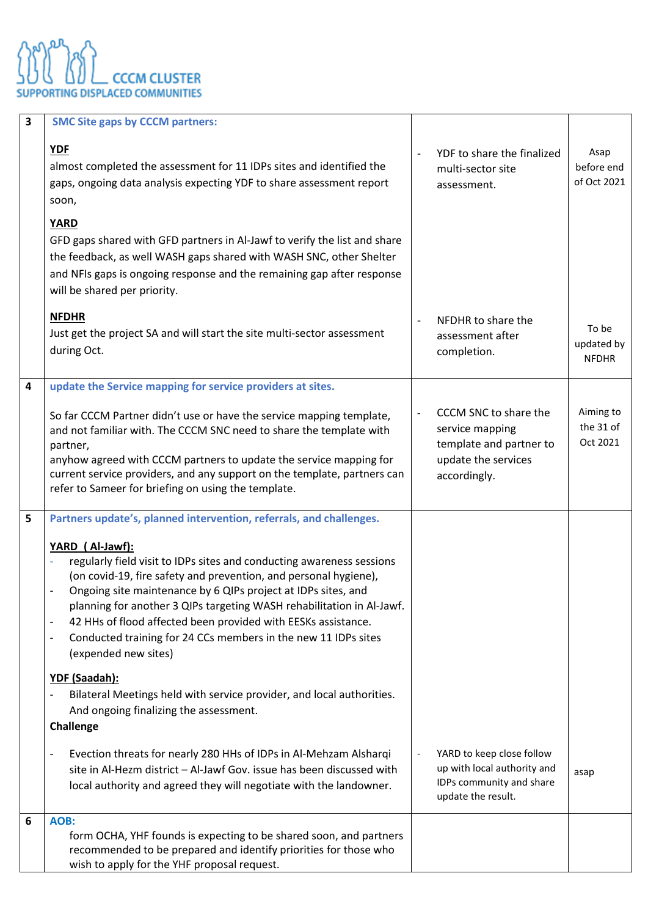

| $\overline{\mathbf{3}}$ | <b>SMC Site gaps by CCCM partners:</b>                                                                                                                                                                                                                                                                                                                                                                                                                                                                                                                    |                          |                                                                                                            |                                     |
|-------------------------|-----------------------------------------------------------------------------------------------------------------------------------------------------------------------------------------------------------------------------------------------------------------------------------------------------------------------------------------------------------------------------------------------------------------------------------------------------------------------------------------------------------------------------------------------------------|--------------------------|------------------------------------------------------------------------------------------------------------|-------------------------------------|
|                         | <b>YDF</b><br>almost completed the assessment for 11 IDPs sites and identified the<br>gaps, ongoing data analysis expecting YDF to share assessment report<br>soon,                                                                                                                                                                                                                                                                                                                                                                                       | $\overline{\phantom{a}}$ | YDF to share the finalized<br>multi-sector site<br>assessment.                                             | Asap<br>before end<br>of Oct 2021   |
|                         | <b>YARD</b><br>GFD gaps shared with GFD partners in Al-Jawf to verify the list and share<br>the feedback, as well WASH gaps shared with WASH SNC, other Shelter<br>and NFIs gaps is ongoing response and the remaining gap after response<br>will be shared per priority.                                                                                                                                                                                                                                                                                 |                          |                                                                                                            |                                     |
|                         | <b>NFDHR</b><br>Just get the project SA and will start the site multi-sector assessment<br>during Oct.                                                                                                                                                                                                                                                                                                                                                                                                                                                    | $\overline{\phantom{a}}$ | NFDHR to share the<br>assessment after<br>completion.                                                      | To be<br>updated by<br><b>NFDHR</b> |
| $\overline{\mathbf{4}}$ | update the Service mapping for service providers at sites.<br>So far CCCM Partner didn't use or have the service mapping template,<br>and not familiar with. The CCCM SNC need to share the template with<br>partner,<br>anyhow agreed with CCCM partners to update the service mapping for<br>current service providers, and any support on the template, partners can<br>refer to Sameer for briefing on using the template.                                                                                                                            | $\bar{\phantom{a}}$      | CCCM SNC to share the<br>service mapping<br>template and partner to<br>update the services<br>accordingly. | Aiming to<br>the 31 of<br>Oct 2021  |
| 5                       | Partners update's, planned intervention, referrals, and challenges.<br>YARD (Al-Jawf):<br>regularly field visit to IDPs sites and conducting awareness sessions<br>(on covid-19, fire safety and prevention, and personal hygiene),<br>Ongoing site maintenance by 6 QIPs project at IDPs sites, and<br>planning for another 3 QIPs targeting WASH rehabilitation in Al-Jawf.<br>42 HHs of flood affected been provided with EESKs assistance.<br>Conducted training for 24 CCs members in the new 11 IDPs sites<br>(expended new sites)<br>YDF (Saadah): |                          |                                                                                                            |                                     |
|                         | Bilateral Meetings held with service provider, and local authorities.<br>And ongoing finalizing the assessment.<br>Challenge<br>Evection threats for nearly 280 HHs of IDPs in Al-Mehzam Alsharqi<br>site in Al-Hezm district - Al-Jawf Gov. issue has been discussed with                                                                                                                                                                                                                                                                                |                          | YARD to keep close follow<br>up with local authority and<br>IDPs community and share                       | asap                                |
| 6                       | local authority and agreed they will negotiate with the landowner.<br>AOB:                                                                                                                                                                                                                                                                                                                                                                                                                                                                                |                          | update the result.                                                                                         |                                     |
|                         | form OCHA, YHF founds is expecting to be shared soon, and partners<br>recommended to be prepared and identify priorities for those who<br>wish to apply for the YHF proposal request.                                                                                                                                                                                                                                                                                                                                                                     |                          |                                                                                                            |                                     |